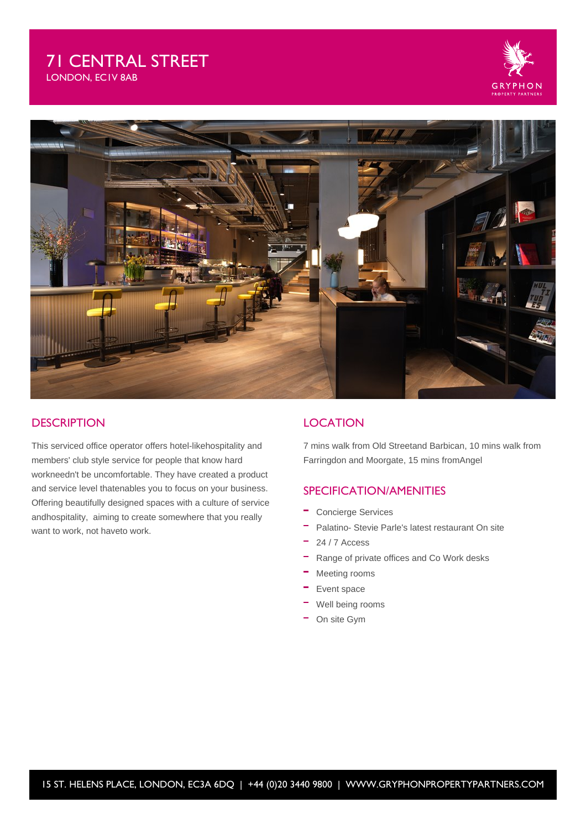## 71 CENTRAL STREET LONDON, EC1V 8AB



### **DESCRIPTION**

This serviced office operator offers hotel-likehospitality and members' club style service for people that know hard workneedn't be uncomfortable. They have created a product and service level thatenables you to focus on your business. Offering beautifully designed spaces with a culture of service andhospitality, aiming to create somewhere that you really want to work, not haveto work.

### **LOCATION**

7 mins walk from Old Streetand Barbican, 10 mins walk from Farringdon and Moorgate, 15 mins fromAngel

### SPECIFICATION/AMENITIES

- Concierge Services
- $\equiv$ Palatino- Stevie Parle's latest restaurant On site
- 24 / 7 Access
- Range of private offices and Co Work desks
- $-$  Meeting rooms
- Event space
- Well being rooms
- On site Gym